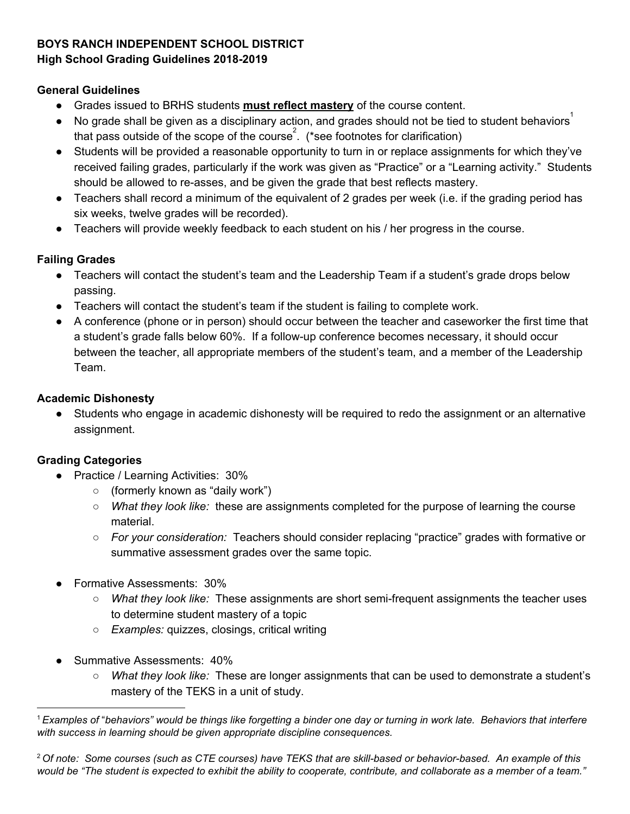#### **BOYS RANCH INDEPENDENT SCHOOL DISTRICT**

### **High School Grading Guidelines 2018-2019**

#### **General Guidelines**

- Grades issued to BRHS students **must reflect mastery** of the course content.
- $\bullet$  No grade shall be given as a disciplinary action, and grades should not be tied to student behaviors<sup>1</sup> that pass outside of the scope of the course<sup>2</sup>. (\*see footnotes for clarification)
- Students will be provided a reasonable opportunity to turn in or replace assignments for which they've received failing grades, particularly if the work was given as "Practice" or a "Learning activity." Students should be allowed to re-asses, and be given the grade that best reflects mastery.
- Teachers shall record a minimum of the equivalent of 2 grades per week (i.e. if the grading period has six weeks, twelve grades will be recorded).
- Teachers will provide weekly feedback to each student on his / her progress in the course.

## **Failing Grades**

- Teachers will contact the student's team and the Leadership Team if a student's grade drops below passing.
- Teachers will contact the student's team if the student is failing to complete work.
- A conference (phone or in person) should occur between the teacher and caseworker the first time that a student's grade falls below 60%. If a follow-up conference becomes necessary, it should occur between the teacher, all appropriate members of the student's team, and a member of the Leadership Team.

## **Academic Dishonesty**

● Students who engage in academic dishonesty will be required to redo the assignment or an alternative assignment.

# **Grading Categories**

- Practice / Learning Activities: 30%
	- (formerly known as "daily work")
	- *What they look like:* these are assignments completed for the purpose of learning the course material.
	- *For your consideration:* Teachers should consider replacing "practice" grades with formative or summative assessment grades over the same topic.
- Formative Assessments: 30%
	- *What they look like:* These assignments are short semi-frequent assignments the teacher uses to determine student mastery of a topic
	- *Examples:* quizzes, closings, critical writing
- **Summative Assessments: 40%** 
	- *What they look like:* These are longer assignments that can be used to demonstrate a student's mastery of the TEKS in a unit of study.

 $^1$ Examples of "behaviors" would be things like forgetting a binder one day or turning in work late. Behaviors that interfere *with success in learning should be given appropriate discipline consequences.*

<sup>&</sup>lt;sup>2</sup> Of note: Some courses (such as CTE courses) have TEKS that are skill-based or behavior-based. An example of this would be "The student is expected to exhibit the ability to cooperate, contribute, and collaborate as a member of a team."